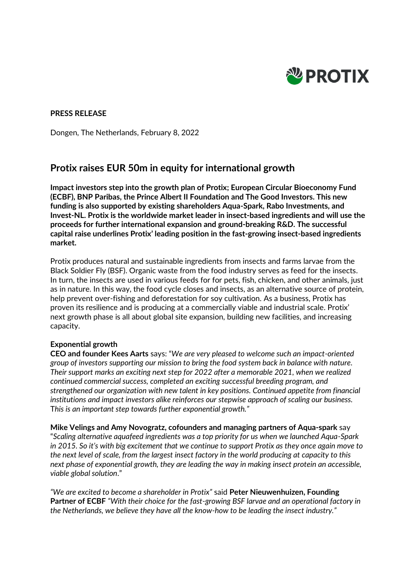

# **PRESS RELEASE**

Dongen, The Netherlands, February 8, 2022

# **Protix raises EUR 50m in equity for international growth**

**Impact investors step into the growth plan of Protix; European Circular Bioeconomy Fund (ECBF), BNP Paribas, the Prince Albert II Foundation and The Good Investors. This new funding is also supported by existing shareholders Aqua-Spark, Rabo Investments, and Invest-NL. Protix is the worldwide market leader in insect-based ingredients and will use the proceeds for further international expansion and ground-breaking R&D. The successful capital raise underlines Protix' leading position in the fast-growing insect-based ingredients market.** 

Protix produces natural and sustainable ingredients from insects and farms larvae from the Black Soldier Fly (BSF). Organic waste from the food industry serves as feed for the insects. In turn, the insects are used in various feeds for for pets, fish, chicken, and other animals, just as in nature. In this way, the food cycle closes and insects, as an alternative source of protein, help prevent over-fishing and deforestation for soy cultivation. As a business, Protix has proven its resilience and is producing at a commercially viable and industrial scale. Protix' next growth phase is all about global site expansion, building new facilities, and increasing capacity.

# **Exponential growth**

**CEO and founder Kees Aarts** says: "*We are very pleased to welcome such an impact-oriented group of investors supporting our mission to bring the food system back in balance with nature. Their support marks an exciting next step for 2022 after a memorable 2021, when we realized continued commercial success, completed an exciting successful breeding program, and strengthened our organization with new talent in key positions. Continued appetite from financial institutions and impact investors alike reinforces our stepwise approach of scaling our business.* T*his is an important step towards further exponential growth."*

**Mike Velings and Amy Novogratz, cofounders and managing partners of Aqua-spark** say "*Scaling alternative aquafeed ingredients was a top priority for us when we launched Aqua-Spark in 2015. So it's with big excitement that we continue to support Protix as they once again move to the next level of scale, from the largest insect factory in the world producing at capacity to this next phase of exponential growth, they are leading the way in making insect protein an accessible, viable global solution*."

*"We are excited to become a shareholder in Protix"* said **Peter Nieuwenhuizen, Founding Partner of ECBF** *"With their choice for the fast-growing BSF larvae and an operational factory in the Netherlands, we believe they have all the know-how to be leading the insect industry."*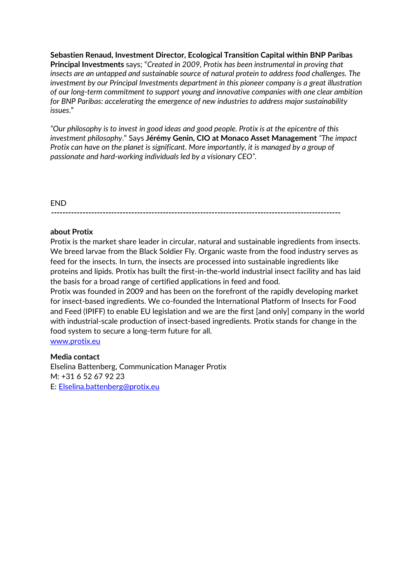**Sebastien Renaud, Investment Director, Ecological Transition Capital within BNP Paribas Principal Investments** says; "*Created in 2009, Protix has been instrumental in proving that insects are an untapped and sustainable source of natural protein to address food challenges. The investment by our Principal Investments department in this pioneer company is a great illustration of our long-term commitment to support young and innovative companies with one clear ambition for BNP Paribas: accelerating the emergence of new industries to address major sustainability issues*."

*"Our philosophy is to invest in good ideas and good people. Protix is at the epicentre of this investment philosophy*." Says **Jérémy Genin, CIO at Monaco Asset Management** *"The impact Protix can have on the planet is significant. More importantly, it is managed by a group of passionate and hard-working individuals led by a visionary CEO".* 

## END

#### **-----------------------------------------------------------------------------------------------------**

# **about Protix**

Protix is the market share leader in circular, natural and sustainable ingredients from insects. We breed larvae from the Black Soldier Fly. Organic waste from the food industry serves as feed for the insects. In turn, the insects are processed into sustainable ingredients like proteins and lipids. Protix has built the first-in-the-world industrial insect facility and has laid the basis for a broad range of certified applications in feed and food.

Protix was founded in 2009 and has been on the forefront of the rapidly developing market for insect-based ingredients. We co-founded the International Platform of Insects for Food and Feed (IPIFF) to enable EU legislation and we are the first [and only] company in the world with industrial-scale production of insect-based ingredients. Protix stands for change in the food system to secure a long-term future for all.

[www.protix.eu](http://www.protix.eu/)

#### **Media contact**

Elselina Battenberg, Communication Manager Protix M: +31 6 52 67 92 23 E: [Elselina.battenberg@protix.eu](mailto:Elselina.battenberg@protix.eu)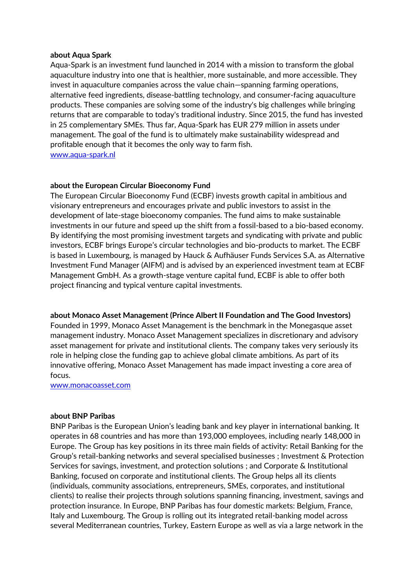#### **about Aqua Spark**

Aqua-Spark is an investment fund launched in 2014 with a mission to transform the global aquaculture industry into one that is healthier, more sustainable, and more accessible. They invest in aquaculture companies across the value chain—spanning farming operations, alternative feed ingredients, disease-battling technology, and consumer-facing aquaculture products. These companies are solving some of the industry's big challenges while bringing returns that are comparable to today's traditional industry. Since 2015, the fund has invested in 25 complementary SMEs. Thus far, Aqua-Spark has EUR 279 million in assets under management. The goal of the fund is to ultimately make sustainability widespread and profitable enough that it becomes the only way to farm fish. [www.aqua-spark.nl](http://www.aqua-spark.nl/)

## **about the European Circular Bioeconomy Fund**

The European Circular Bioeconomy Fund (ECBF) invests growth capital in ambitious and visionary entrepreneurs and encourages private and public investors to assist in the development of late-stage bioeconomy companies. The fund aims to make sustainable investments in our future and speed up the shift from a fossil-based to a bio-based economy. By identifying the most promising investment targets and syndicating with private and public investors, ECBF brings Europe's circular technologies and bio-products to market. The ECBF is based in Luxembourg, is managed by Hauck & Aufhäuser Funds Services S.A. as Alternative Investment Fund Manager (AIFM) and is advised by an experienced investment team at ECBF Management GmbH. As a growth-stage venture capital fund, ECBF is able to offer both project financing and typical venture capital investments.

#### **about Monaco Asset Management (Prince Albert II Foundation and The Good Investors)**

Founded in 1999, Monaco Asset Management is the benchmark in the Monegasque asset management industry. Monaco Asset Management specializes in discretionary and advisory asset management for private and institutional clients. The company takes very seriously its role in helping close the funding gap to achieve global climate ambitions. As part of its innovative offering, Monaco Asset Management has made impact investing a core area of focus.

[www.monacoasset.com](http://www.monacoasset.com/)

#### **about BNP Paribas**

BNP Paribas is the European Union's leading bank and key player in international banking. It operates in 68 countries and has more than 193,000 employees, including nearly 148,000 in Europe. The Group has key positions in its three main fields of activity: Retail Banking for the Group's retail-banking networks and several specialised businesses ; Investment & Protection Services for savings, investment, and protection solutions ; and Corporate & Institutional Banking, focused on corporate and institutional clients. The Group helps all its clients (individuals, community associations, entrepreneurs, SMEs, corporates, and institutional clients) to realise their projects through solutions spanning financing, investment, savings and protection insurance. In Europe, BNP Paribas has four domestic markets: Belgium, France, Italy and Luxembourg. The Group is rolling out its integrated retail-banking model across several Mediterranean countries, Turkey, Eastern Europe as well as via a large network in the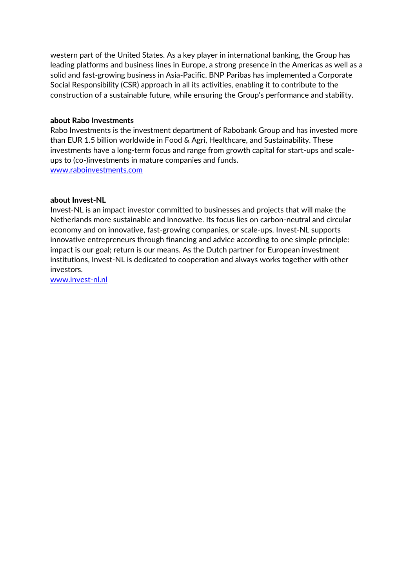western part of the United States. As a key player in international banking, the Group has leading platforms and business lines in Europe, a strong presence in the Americas as well as a solid and fast-growing business in Asia-Pacific. BNP Paribas has implemented a Corporate Social Responsibility (CSR) approach in all its activities, enabling it to contribute to the construction of a sustainable future, while ensuring the Group's performance and stability.

### **about Rabo Investments**

Rabo Investments is the investment department of Rabobank Group and has invested more than EUR 1.5 billion worldwide in Food & Agri, Healthcare, and Sustainability. These investments have a long-term focus and range from growth capital for start-ups and scaleups to (co-)investments in mature companies and funds. [www.raboinvestments.com](http://www.raboinvestments.com/)

## **about Invest-NL**

Invest-NL is an impact investor committed to businesses and projects that will make the Netherlands more sustainable and innovative. Its focus lies on carbon-neutral and circular economy and on innovative, fast-growing companies, or scale-ups. Invest-NL supports innovative entrepreneurs through financing and advice according to one simple principle: impact is our goal; return is our means. As the Dutch partner for European investment institutions, Invest-NL is dedicated to cooperation and always works together with other investors.

[www.invest-nl.nl](http://www.invest-nl.nl/)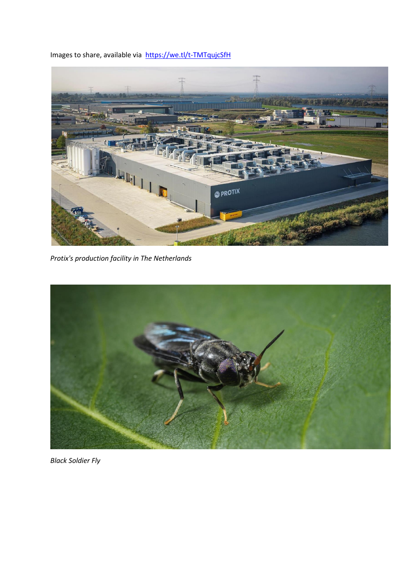Images to share, available via <https://we.tl/t-TMTqujcSfH>



*Protix's production facility in The Netherlands*



*Black Soldier Fly*